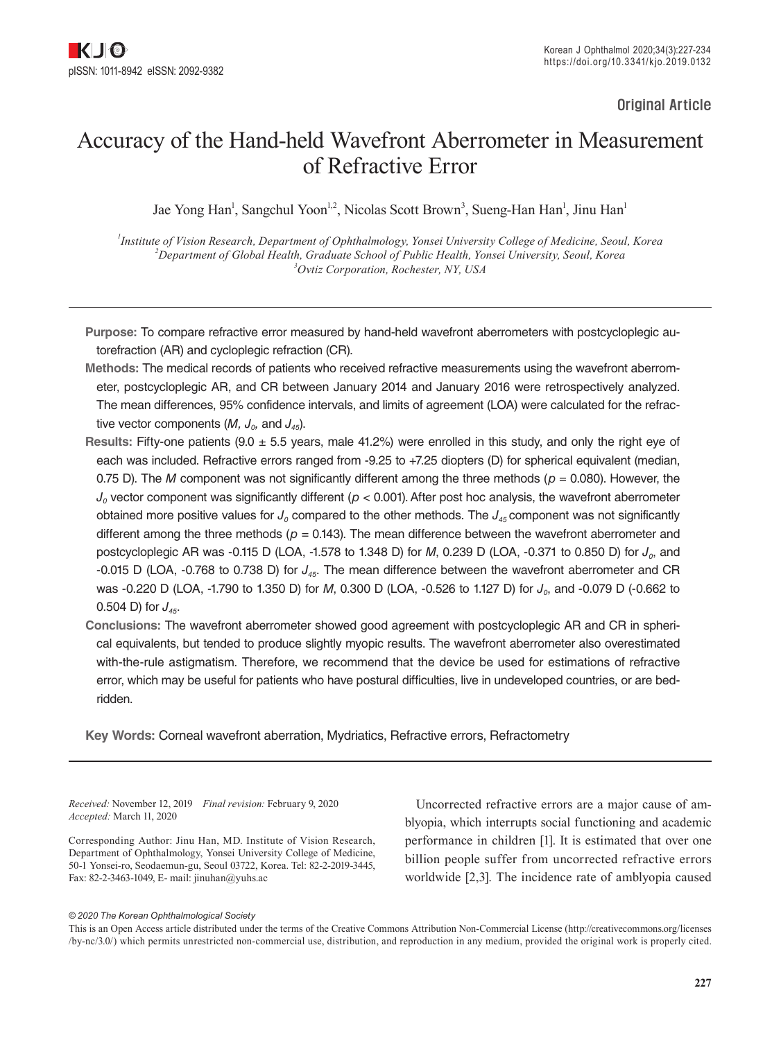Original Article

# Accuracy of the Hand-held Wavefront Aberrometer in Measurement of Refractive Error

Jae Yong Han<sup>1</sup>, Sangchul Yoon<sup>1,2</sup>, Nicolas Scott Brown<sup>3</sup>, Sueng-Han Han<sup>1</sup>, Jinu Han<sup>1</sup>

*1 Institute of Vision Research, Department of Ophthalmology, Yonsei University College of Medicine, Seoul, Korea 2 Department of Global Health, Graduate School of Public Health, Yonsei University, Seoul, Korea 3 Ovtiz Corporation, Rochester, NY, USA*

**Purpose:** To compare refractive error measured by hand-held wavefront aberrometers with postcycloplegic autorefraction (AR) and cycloplegic refraction (CR).

- **Methods:** The medical records of patients who received refractive measurements using the wavefront aberrometer, postcycloplegic AR, and CR between January 2014 and January 2016 were retrospectively analyzed. The mean differences, 95% confidence intervals, and limits of agreement (LOA) were calculated for the refractive vector components  $(M, J_0, \text{ and } J_{45})$ .
- **Results:** Fifty-one patients (9.0 ± 5.5 years, male 41.2%) were enrolled in this study, and only the right eye of each was included. Refractive errors ranged from -9.25 to +7.25 diopters (D) for spherical equivalent (median, 0.75 D). The *M* component was not significantly different among the three methods ( $p = 0.080$ ). However, the  $J<sub>0</sub>$  vector component was significantly different ( $p < 0.001$ ). After post hoc analysis, the wavefront aberrometer obtained more positive values for  $J_0$  compared to the other methods. The  $J_{45}$  component was not significantly different among the three methods ( $p = 0.143$ ). The mean difference between the wavefront aberrometer and postcycloplegic AR was -0.115 D (LOA, -1.578 to 1.348 D) for *M*, 0.239 D (LOA, -0.371 to 0.850 D) for  $J_0$ , and -0.015 D (LOA, -0.768 to 0.738 D) for *J45*. The mean difference between the wavefront aberrometer and CR was -0.220 D (LOA, -1.790 to 1.350 D) for *M*, 0.300 D (LOA, -0.526 to 1.127 D) for *J<sub>0</sub>*, and -0.079 D (-0.662 to 0.504 D) for  $J_{45}$ .
- **Conclusions:** The wavefront aberrometer showed good agreement with postcycloplegic AR and CR in spherical equivalents, but tended to produce slightly myopic results. The wavefront aberrometer also overestimated with-the-rule astigmatism. Therefore, we recommend that the device be used for estimations of refractive error, which may be useful for patients who have postural difficulties, live in undeveloped countries, or are bedridden.

**Key Words:** Corneal wavefront aberration, Mydriatics, Refractive errors, Refractometry

*Received:* November 12, 2019 *Final revision:* February 9, 2020 *Accepted:* March 11, 2020

Corresponding Author: Jinu Han, MD. Institute of Vision Research, Department of Ophthalmology, Yonsei University College of Medicine, 50-1 Yonsei-ro, Seodaemun-gu, Seoul 03722, Korea. Tel: 82-2-2019-3445, Fax: 82-2-3463-1049, E- mail: [jinuhan@yuhs.ac](mailto:jinuhan@yuhs.ac)

Uncorrected refractive errors are a major cause of amblyopia, which interrupts social functioning and academic performance in children [1]. It is estimated that over one billion people suffer from uncorrected refractive errors worldwide [2,3]. The incidence rate of amblyopia caused

#### *© 2020 The Korean Ophthalmological Society*

This is an Open Access article distributed under the terms of the Creative Commons Attribution Non-Commercial License (http://creativecommons.org/licenses /by-nc/3.0/) which permits unrestricted non-commercial use, distribution, and reproduction in any medium, provided the original work is properly cited.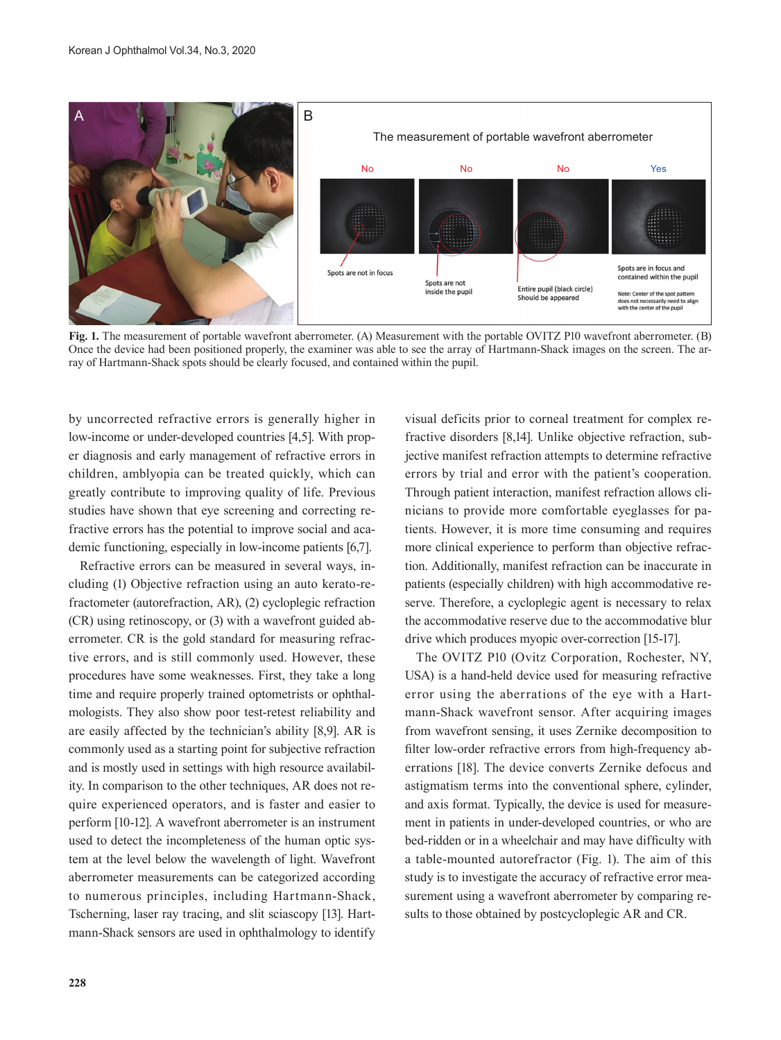

**Fig. 1.** The measurement of portable wavefront aberrometer. (A) Measurement with the portable OVITZ P10 wavefront aberrometer. (B) Once the device had been positioned properly, the examiner was able to see the array of Hartmann-Shack images on the screen. The array of Hartmann-Shack spots should be clearly focused, and contained within the pupil.

by uncorrected refractive errors is generally higher in low-income or under-developed countries [4,5]. With proper diagnosis and early management of refractive errors in children, amblyopia can be treated quickly, which can greatly contribute to improving quality of life. Previous studies have shown that eye screening and correcting refractive errors has the potential to improve social and academic functioning, especially in low-income patients [6,7].

Refractive errors can be measured in several ways, including (1) Objective refraction using an auto kerato-refractometer (autorefraction, AR), (2) cycloplegic refraction (CR) using retinoscopy, or (3) with a wavefront guided aberrometer. CR is the gold standard for measuring refractive errors, and is still commonly used. However, these procedures have some weaknesses. First, they take a long time and require properly trained optometrists or ophthalmologists. They also show poor test-retest reliability and are easily affected by the technician's ability [8,9]. AR is commonly used as a starting point for subjective refraction and is mostly used in settings with high resource availability. In comparison to the other techniques, AR does not require experienced operators, and is faster and easier to perform [10-12]. A wavefront aberrometer is an instrument used to detect the incompleteness of the human optic system at the level below the wavelength of light. Wavefront aberrometer measurements can be categorized according to numerous principles, including Hartmann-Shack, Tscherning, laser ray tracing, and slit sciascopy [13]. Hartmann-Shack sensors are used in ophthalmology to identify

visual deficits prior to corneal treatment for complex refractive disorders [8,14]. Unlike objective refraction, subjective manifest refraction attempts to determine refractive errors by trial and error with the patient's cooperation. Through patient interaction, manifest refraction allows clinicians to provide more comfortable eyeglasses for patients. However, it is more time consuming and requires more clinical experience to perform than objective refraction. Additionally, manifest refraction can be inaccurate in patients (especially children) with high accommodative reserve. Therefore, a cycloplegic agent is necessary to relax the accommodative reserve due to the accommodative blur drive which produces myopic over-correction [15-17].

The OVITZ P10 (Ovitz Corporation, Rochester, NY, USA) is a hand-held device used for measuring refractive error using the aberrations of the eye with a Hartmann-Shack wavefront sensor. After acquiring images from wavefront sensing, it uses Zernike decomposition to filter low-order refractive errors from high-frequency aberrations [18]. The device converts Zernike defocus and astigmatism terms into the conventional sphere, cylinder, and axis format. Typically, the device is used for measurement in patients in under-developed countries, or who are bed-ridden or in a wheelchair and may have difficulty with a table-mounted autorefractor (Fig. 1). The aim of this study is to investigate the accuracy of refractive error measurement using a wavefront aberrometer by comparing results to those obtained by postcycloplegic AR and CR.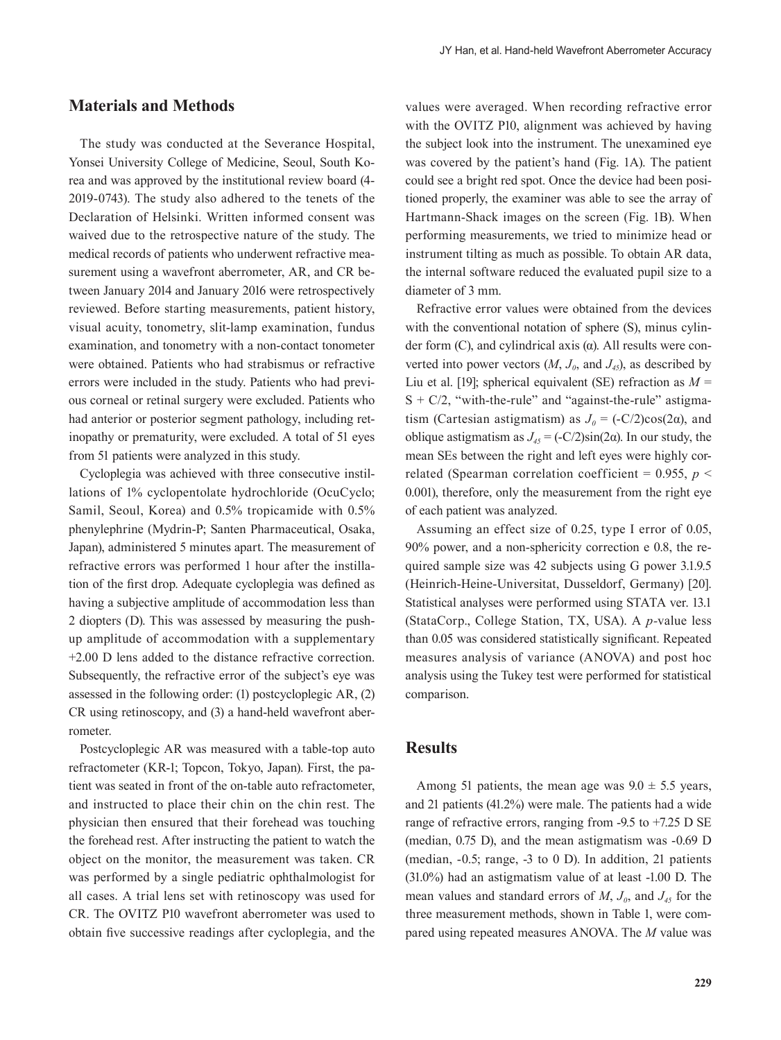## **Materials and Methods**

The study was conducted at the Severance Hospital, Yonsei University College of Medicine, Seoul, South Korea and was approved by the institutional review board (4- 2019-0743). The study also adhered to the tenets of the Declaration of Helsinki. Written informed consent was waived due to the retrospective nature of the study. The medical records of patients who underwent refractive measurement using a wavefront aberrometer, AR, and CR between January 2014 and January 2016 were retrospectively reviewed. Before starting measurements, patient history, visual acuity, tonometry, slit-lamp examination, fundus examination, and tonometry with a non-contact tonometer were obtained. Patients who had strabismus or refractive errors were included in the study. Patients who had previous corneal or retinal surgery were excluded. Patients who had anterior or posterior segment pathology, including retinopathy or prematurity, were excluded. A total of 51 eyes from 51 patients were analyzed in this study.

Cycloplegia was achieved with three consecutive instillations of 1% cyclopentolate hydrochloride (OcuCyclo; Samil, Seoul, Korea) and 0.5% tropicamide with 0.5% phenylephrine (Mydrin-P; Santen Pharmaceutical, Osaka, Japan), administered 5 minutes apart. The measurement of refractive errors was performed 1 hour after the instillation of the first drop. Adequate cycloplegia was defined as having a subjective amplitude of accommodation less than 2 diopters (D). This was assessed by measuring the pushup amplitude of accommodation with a supplementary +2.00 D lens added to the distance refractive correction. Subsequently, the refractive error of the subject's eye was assessed in the following order: (1) postcycloplegic AR, (2) CR using retinoscopy, and (3) a hand-held wavefront aberrometer.

Postcycloplegic AR was measured with a table-top auto refractometer (KR-1; Topcon, Tokyo, Japan). First, the patient was seated in front of the on-table auto refractometer, and instructed to place their chin on the chin rest. The physician then ensured that their forehead was touching the forehead rest. After instructing the patient to watch the object on the monitor, the measurement was taken. CR was performed by a single pediatric ophthalmologist for all cases. A trial lens set with retinoscopy was used for CR. The OVITZ P10 wavefront aberrometer was used to obtain five successive readings after cycloplegia, and the

values were averaged. When recording refractive error with the OVITZ P10, alignment was achieved by having the subject look into the instrument. The unexamined eye was covered by the patient's hand (Fig. 1A). The patient could see a bright red spot. Once the device had been positioned properly, the examiner was able to see the array of Hartmann-Shack images on the screen (Fig. 1B). When performing measurements, we tried to minimize head or instrument tilting as much as possible. To obtain AR data, the internal software reduced the evaluated pupil size to a diameter of 3 mm.

Refractive error values were obtained from the devices with the conventional notation of sphere (S), minus cylinder form (C), and cylindrical axis (α). All results were converted into power vectors  $(M, J_0, \text{ and } J_4)$ , as described by Liu et al. [19]; spherical equivalent (SE) refraction as *M* =  $S + C/2$ , "with-the-rule" and "against-the-rule" astigmatism (Cartesian astigmatism) as  $J_0 = (-C/2)\cos(2\alpha)$ , and oblique astigmatism as  $J_{45} = (-C/2)\sin(2α)$ . In our study, the mean SEs between the right and left eyes were highly correlated (Spearman correlation coefficient =  $0.955$ , *p* < 0.001), therefore, only the measurement from the right eye of each patient was analyzed.

Assuming an effect size of 0.25, type I error of 0.05, 90% power, and a non-sphericity correction e 0.8, the required sample size was 42 subjects using G power 3.1.9.5 (Heinrich-Heine-Universitat, Dusseldorf, Germany) [20]. Statistical analyses were performed using STATA ver. 13.1 (StataCorp., College Station, TX, USA). A *p-*value less than 0.05 was considered statistically significant. Repeated measures analysis of variance (ANOVA) and post hoc analysis using the Tukey test were performed for statistical comparison.

#### **Results**

Among 51 patients, the mean age was  $9.0 \pm 5.5$  years, and 21 patients (41.2%) were male. The patients had a wide range of refractive errors, ranging from -9.5 to +7.25 D SE (median, 0.75 D), and the mean astigmatism was -0.69 D (median, -0.5; range, -3 to 0 D). In addition, 21 patients (31.0%) had an astigmatism value of at least -1.00 D. The mean values and standard errors of  $M$ ,  $J<sub>0</sub>$ , and  $J<sub>45</sub>$  for the three measurement methods, shown in Table 1, were compared using repeated measures ANOVA. The *M* value was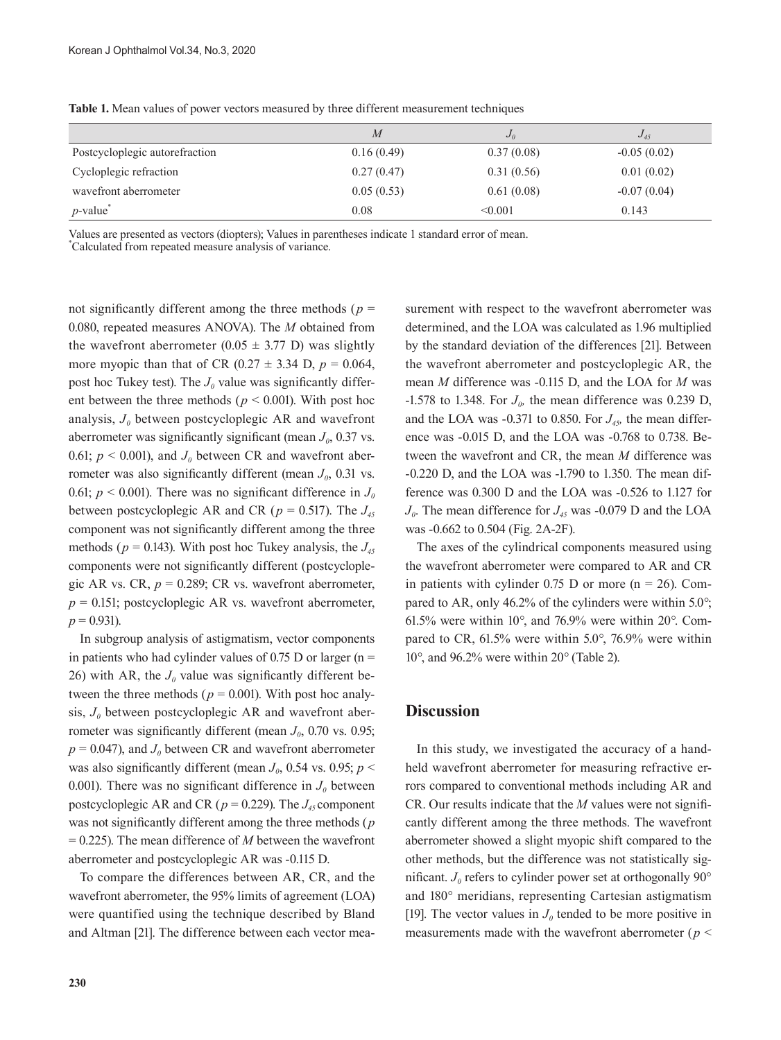|                                | $\overline{M}$ | $J_{\theta}$ | $J_{45}$      |
|--------------------------------|----------------|--------------|---------------|
| Postcycloplegic autorefraction | 0.16(0.49)     | 0.37(0.08)   | $-0.05(0.02)$ |
| Cycloplegic refraction         | 0.27(0.47)     | 0.31(0.56)   | 0.01(0.02)    |
| wavefront aberrometer          | 0.05(0.53)     | 0.61(0.08)   | $-0.07(0.04)$ |
| $p$ -value <sup>*</sup>        | 0.08           | < 0.001      | 0.143         |

**Table 1.** Mean values of power vectors measured by three different measurement techniques

Values are presented as vectors (diopters); Values in parentheses indicate 1 standard error of mean.

\* Calculated from repeated measure analysis of variance.

not significantly different among the three methods (*p* = 0.080, repeated measures ANOVA). The *M* obtained from the wavefront aberrometer (0.05  $\pm$  3.77 D) was slightly more myopic than that of CR  $(0.27 \pm 3.34 \text{ D}, p = 0.064,$ post hoc Tukey test). The  $J_0$  value was significantly different between the three methods (*p* < 0.001). With post hoc analysis,  $J_0$  between postcycloplegic AR and wavefront aberrometer was significantly significant (mean  $J_0$ , 0.37 vs. 0.61;  $p < 0.001$ ), and  $J<sub>0</sub>$  between CR and wavefront aberrometer was also significantly different (mean  $J_0$ , 0.31 vs. 0.61;  $p < 0.001$ ). There was no significant difference in  $J<sub>0</sub>$ between postcycloplegic AR and CR ( $p = 0.517$ ). The  $J_{45}$ component was not significantly different among the three methods ( $p = 0.143$ ). With post hoc Tukey analysis, the  $J_{45}$ components were not significantly different (postcycloplegic AR vs. CR,  $p = 0.289$ ; CR vs. wavefront aberrometer,  $p = 0.151$ ; postcycloplegic AR vs. wavefront aberrometer,  $p = 0.931$ .

In subgroup analysis of astigmatism, vector components in patients who had cylinder values of 0.75 D or larger ( $n =$ 26) with AR, the  $J_0$  value was significantly different between the three methods ( $p = 0.001$ ). With post hoc analysis,  $J_0$  between postcycloplegic AR and wavefront aberrometer was significantly different (mean  $J_0$ , 0.70 vs. 0.95;  $p = 0.047$ , and  $J<sub>0</sub>$  between CR and wavefront aberrometer was also significantly different (mean  $J_0$ , 0.54 vs. 0.95;  $p \leq$ 0.001). There was no significant difference in  $J_0$  between postcycloplegic AR and CR ( $p = 0.229$ ). The  $J_{45}$  component was not significantly different among the three methods (*p*  = 0.225). The mean difference of *M* between the wavefront aberrometer and postcycloplegic AR was -0.115 D.

To compare the differences between AR, CR, and the wavefront aberrometer, the 95% limits of agreement (LOA) were quantified using the technique described by Bland and Altman [21]. The difference between each vector mea-

**230**

surement with respect to the wavefront aberrometer was determined, and the LOA was calculated as 1.96 multiplied by the standard deviation of the differences [21]. Between the wavefront aberrometer and postcycloplegic AR, the mean *M* difference was -0.115 D, and the LOA for *M* was  $-1.578$  to 1.348. For  $J_{0}$ , the mean difference was 0.239 D, and the LOA was  $-0.371$  to 0.850. For  $J_{45}$ , the mean difference was -0.015 D, and the LOA was -0.768 to 0.738. Between the wavefront and CR, the mean *M* difference was -0.220 D, and the LOA was -1.790 to 1.350. The mean difference was 0.300 D and the LOA was -0.526 to 1.127 for  $J_0$ . The mean difference for  $J_4$ <sub>5</sub> was -0.079 D and the LOA was -0.662 to 0.504 (Fig. 2A-2F).

The axes of the cylindrical components measured using the wavefront aberrometer were compared to AR and CR in patients with cylinder  $0.75$  D or more (n = 26). Compared to AR, only 46.2% of the cylinders were within 5.0*°*; 61.5% were within 10*°*, and 76.9% were within 20*°*. Compared to CR, 61.5% were within 5.0*°*, 76.9% were within 10*°*, and 96.2% were within 20*°* (Table 2).

#### **Discussion**

In this study, we investigated the accuracy of a handheld wavefront aberrometer for measuring refractive errors compared to conventional methods including AR and CR. Our results indicate that the *M* values were not significantly different among the three methods. The wavefront aberrometer showed a slight myopic shift compared to the other methods, but the difference was not statistically significant.  $J_0$  refers to cylinder power set at orthogonally 90 $\degree$ and 180° meridians, representing Cartesian astigmatism [19]. The vector values in  $J_0$  tended to be more positive in measurements made with the wavefront aberrometer (*p* <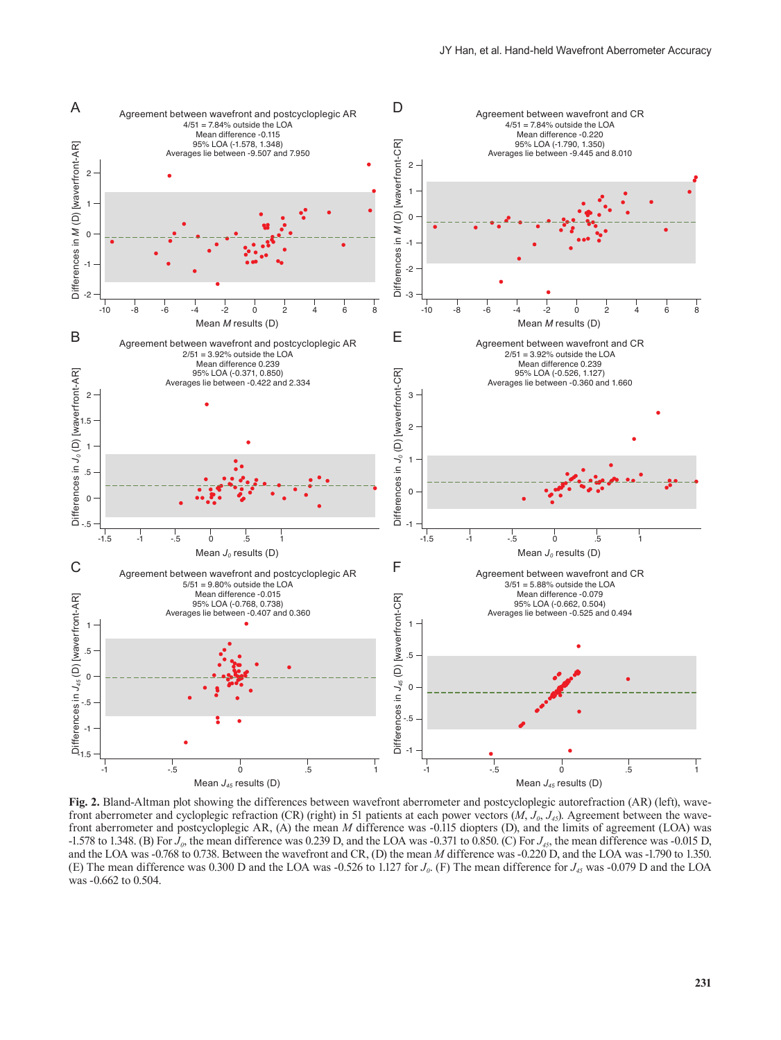

**Fig. 2.** Bland-Altman plot showing the differences between wavefront aberrometer and postcycloplegic autorefraction (AR) (left), wavefront aberrometer and cycloplegic refraction (CR) (right) in 51 patients at each power vectors (*M*, *J*<sub>0</sub>, *J*<sub>45</sub>). Agreement between the wavefront aberrometer and postcycloplegic AR, (A) the mean *M* difference was -0.115 diopters (D), and the limits of agreement (LOA) was -1.578 to 1.348. (B) For  $J_0$ , the mean difference was 0.239 D, and the LOA was -0.371 to 0.850. (C) For  $J_{45}$ , the mean difference was -0.015 D, and the LOA was -0.768 to 0.738. Between the wavefront and CR, (D) the mean *M* difference was -0.220 D, and the LOA was -1.790 to 1.350. (E) The mean difference was 0.300 D and the LOA was -0.526 to 1.127 for *J0*. (F) The mean difference for *J45* was -0.079 D and the LOA was -0.662 to 0.504.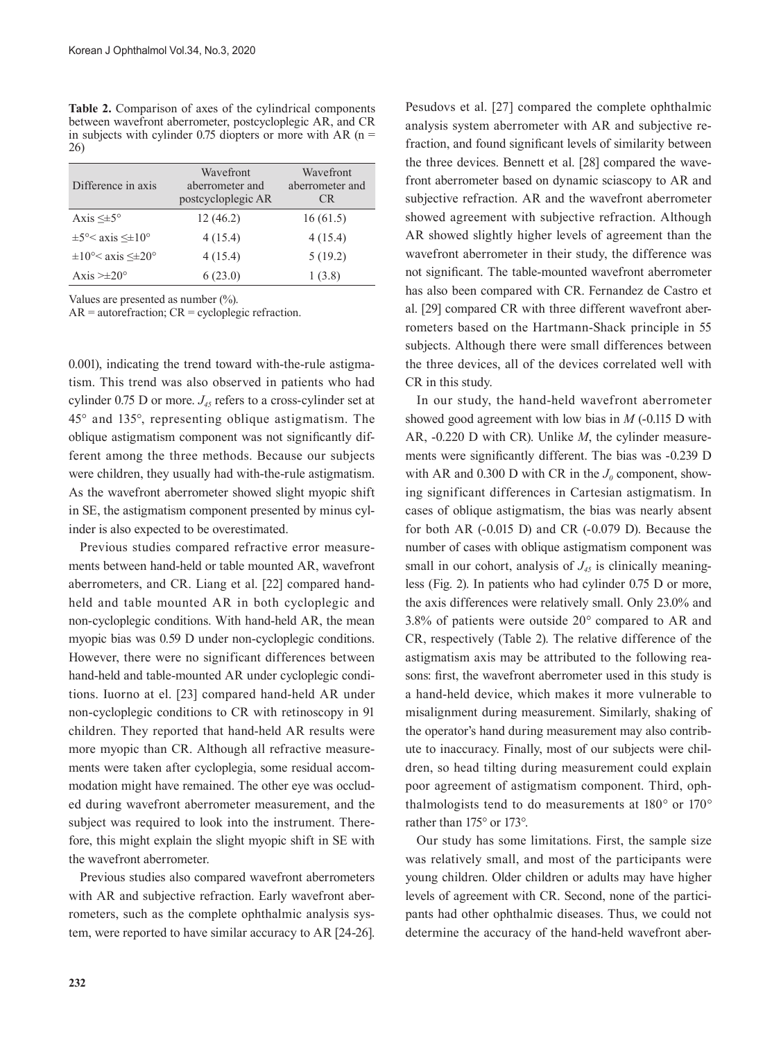**Table 2.** Comparison of axes of the cylindrical components between wavefront aberrometer, postcycloplegic AR, and CR in subjects with cylinder 0.75 diopters or more with AR  $(n =$ 26)

| Difference in axis                          | Wavefront<br>aberrometer and<br>postcycloplegic AR | Wavefront<br>aberrometer and<br>CR. |
|---------------------------------------------|----------------------------------------------------|-------------------------------------|
| Axis $\leq \pm 5^{\circ}$                   | 12(46.2)                                           | 16(61.5)                            |
| $\pm 5^{\circ}$ axis $\leq \pm 10^{\circ}$  | 4(15.4)                                            | 4(15.4)                             |
| $\pm 10^{\circ}$ axis $\leq \pm 20^{\circ}$ | 4(15.4)                                            | 5(19.2)                             |
| Axis $\geq \pm 20^{\circ}$                  | 6(23.0)                                            | 1(3.8)                              |

Values are presented as number (%).

 $AR = autor$ efraction;  $CR = cyclopleg$ ic refraction.

0.001), indicating the trend toward with-the-rule astigmatism. This trend was also observed in patients who had cylinder 0.75 D or more.  $J_{45}$  refers to a cross-cylinder set at 45° and 135°, representing oblique astigmatism. The oblique astigmatism component was not significantly different among the three methods. Because our subjects were children, they usually had with-the-rule astigmatism. As the wavefront aberrometer showed slight myopic shift in SE, the astigmatism component presented by minus cylinder is also expected to be overestimated.

Previous studies compared refractive error measurements between hand-held or table mounted AR, wavefront aberrometers, and CR. Liang et al. [22] compared handheld and table mounted AR in both cycloplegic and non-cycloplegic conditions. With hand-held AR, the mean myopic bias was 0.59 D under non-cycloplegic conditions. However, there were no significant differences between hand-held and table-mounted AR under cycloplegic conditions. Iuorno at el. [23] compared hand-held AR under non-cycloplegic conditions to CR with retinoscopy in 91 children. They reported that hand-held AR results were more myopic than CR. Although all refractive measurements were taken after cycloplegia, some residual accommodation might have remained. The other eye was occluded during wavefront aberrometer measurement, and the subject was required to look into the instrument. Therefore, this might explain the slight myopic shift in SE with the wavefront aberrometer.

Previous studies also compared wavefront aberrometers with AR and subjective refraction. Early wavefront aberrometers, such as the complete ophthalmic analysis system, were reported to have similar accuracy to AR [24-26].

Pesudovs et al. [27] compared the complete ophthalmic analysis system aberrometer with AR and subjective refraction, and found significant levels of similarity between the three devices. Bennett et al. [28] compared the wavefront aberrometer based on dynamic sciascopy to AR and subjective refraction. AR and the wavefront aberrometer showed agreement with subjective refraction. Although AR showed slightly higher levels of agreement than the wavefront aberrometer in their study, the difference was not significant. The table-mounted wavefront aberrometer has also been compared with CR. Fernandez de Castro et al. [29] compared CR with three different wavefront aberrometers based on the Hartmann-Shack principle in 55 subjects. Although there were small differences between the three devices, all of the devices correlated well with CR in this study.

In our study, the hand-held wavefront aberrometer showed good agreement with low bias in *M* (-0.115 D with AR, -0.220 D with CR). Unlike *M*, the cylinder measurements were significantly different. The bias was -0.239 D with AR and  $0.300$  D with CR in the  $J_0$  component, showing significant differences in Cartesian astigmatism. In cases of oblique astigmatism, the bias was nearly absent for both AR (-0.015 D) and CR (-0.079 D). Because the number of cases with oblique astigmatism component was small in our cohort, analysis of  $J<sub>45</sub>$  is clinically meaningless (Fig. 2). In patients who had cylinder 0.75 D or more, the axis differences were relatively small. Only 23.0% and 3.8% of patients were outside 20*°* compared to AR and CR, respectively (Table 2). The relative difference of the astigmatism axis may be attributed to the following reasons: first, the wavefront aberrometer used in this study is a hand-held device, which makes it more vulnerable to misalignment during measurement. Similarly, shaking of the operator's hand during measurement may also contribute to inaccuracy. Finally, most of our subjects were children, so head tilting during measurement could explain poor agreement of astigmatism component. Third, ophthalmologists tend to do measurements at 180*°* or 170*°* rather than 175*°* or 173*°*.

Our study has some limitations. First, the sample size was relatively small, and most of the participants were young children. Older children or adults may have higher levels of agreement with CR. Second, none of the participants had other ophthalmic diseases. Thus, we could not determine the accuracy of the hand-held wavefront aber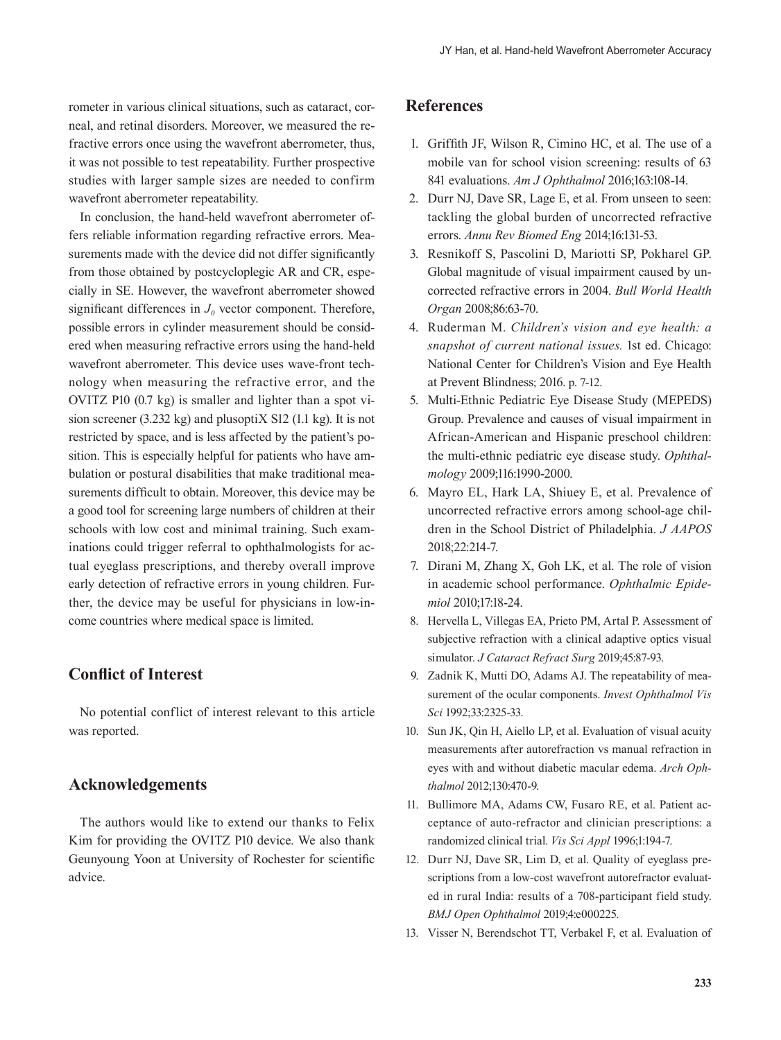rometer in various clinical situations, such as cataract, corneal, and retinal disorders. Moreover, we measured the refractive errors once using the wavefront aberrometer, thus, it was not possible to test repeatability. Further prospective studies with larger sample sizes are needed to confirm wavefront aberrometer repeatability.

In conclusion, the hand-held wavefront aberrometer offers reliable information regarding refractive errors. Measurements made with the device did not differ significantly from those obtained by postcycloplegic AR and CR, especially in SE. However, the wavefront aberrometer showed significant differences in  $J<sub>0</sub>$  vector component. Therefore, possible errors in cylinder measurement should be considered when measuring refractive errors using the hand-held wavefront aberrometer. This device uses wave-front technology when measuring the refractive error, and the OVITZ P10 (0.7 kg) is smaller and lighter than a spot vision screener (3.232 kg) and plusoptiX S12 (1.1 kg). It is not restricted by space, and is less affected by the patient's position. This is especially helpful for patients who have ambulation or postural disabilities that make traditional measurements difficult to obtain. Moreover, this device may be a good tool for screening large numbers of children at their schools with low cost and minimal training. Such examinations could trigger referral to ophthalmologists for actual eyeglass prescriptions, and thereby overall improve early detection of refractive errors in young children. Further, the device may be useful for physicians in low-income countries where medical space is limited.

## **Conflict of Interest**

No potential conflict of interest relevant to this article was reported.

### **Acknowledgements**

The authors would like to extend our thanks to Felix Kim for providing the OVITZ P10 device. We also thank Geunyoung Yoon at University of Rochester for scientific advice.

## **References**

- 1. Griffith JF, Wilson R, Cimino HC, et al. The use of a mobile van for school vision screening: results of 63 841 evaluations. *Am J Ophthalmol* 2016;163:108-14.
- 2. Durr NJ, Dave SR, Lage E, et al. From unseen to seen: tackling the global burden of uncorrected refractive errors. *Annu Rev Biomed Eng* 2014;16:131-53.
- 3. Resnikoff S, Pascolini D, Mariotti SP, Pokharel GP. Global magnitude of visual impairment caused by uncorrected refractive errors in 2004. *Bull World Health Organ* 2008;86:63-70.
- 4. Ruderman M. *Children's vision and eye health: a snapshot of current national issues*. 1st ed. Chicago: National Center for Children's Vision and Eye Health at Prevent Blindness; 2016. p. 7-12.
- 5. Multi-Ethnic Pediatric Eye Disease Study (MEPEDS) Group. Prevalence and causes of visual impairment in African-American and Hispanic preschool children: the multi-ethnic pediatric eye disease study. *Ophthalmology* 2009;116:1990-2000.
- 6. Mayro EL, Hark LA, Shiuey E, et al. Prevalence of uncorrected refractive errors among school-age children in the School District of Philadelphia. *J AAPOS* 2018;22:214-7.
- 7. Dirani M, Zhang X, Goh LK, et al. The role of vision in academic school performance. *Ophthalmic Epidemiol* 2010;17:18-24.
- 8. Hervella L, Villegas EA, Prieto PM, Artal P. Assessment of subjective refraction with a clinical adaptive optics visual simulator. *J Cataract Refract Surg* 2019;45:87-93.
- 9. Zadnik K, Mutti DO, Adams AJ. The repeatability of measurement of the ocular components. *Invest Ophthalmol Vis Sci* 1992;33:2325-33.
- 10. Sun JK, Qin H, Aiello LP, et al. Evaluation of visual acuity measurements after autorefraction vs manual refraction in eyes with and without diabetic macular edema. *Arch Ophthalmol* 2012;130:470-9.
- 11. Bullimore MA, Adams CW, Fusaro RE, et al. Patient acceptance of auto-refractor and clinician prescriptions: a randomized clinical trial. *Vis Sci Appl* 1996;1:194-7.
- 12. Durr NJ, Dave SR, Lim D, et al. Quality of eyeglass prescriptions from a low-cost wavefront autorefractor evaluated in rural India: results of a 708-participant field study. *BMJ Open Ophthalmol* 2019;4:e000225.
- 13. Visser N, Berendschot TT, Verbakel F, et al. Evaluation of